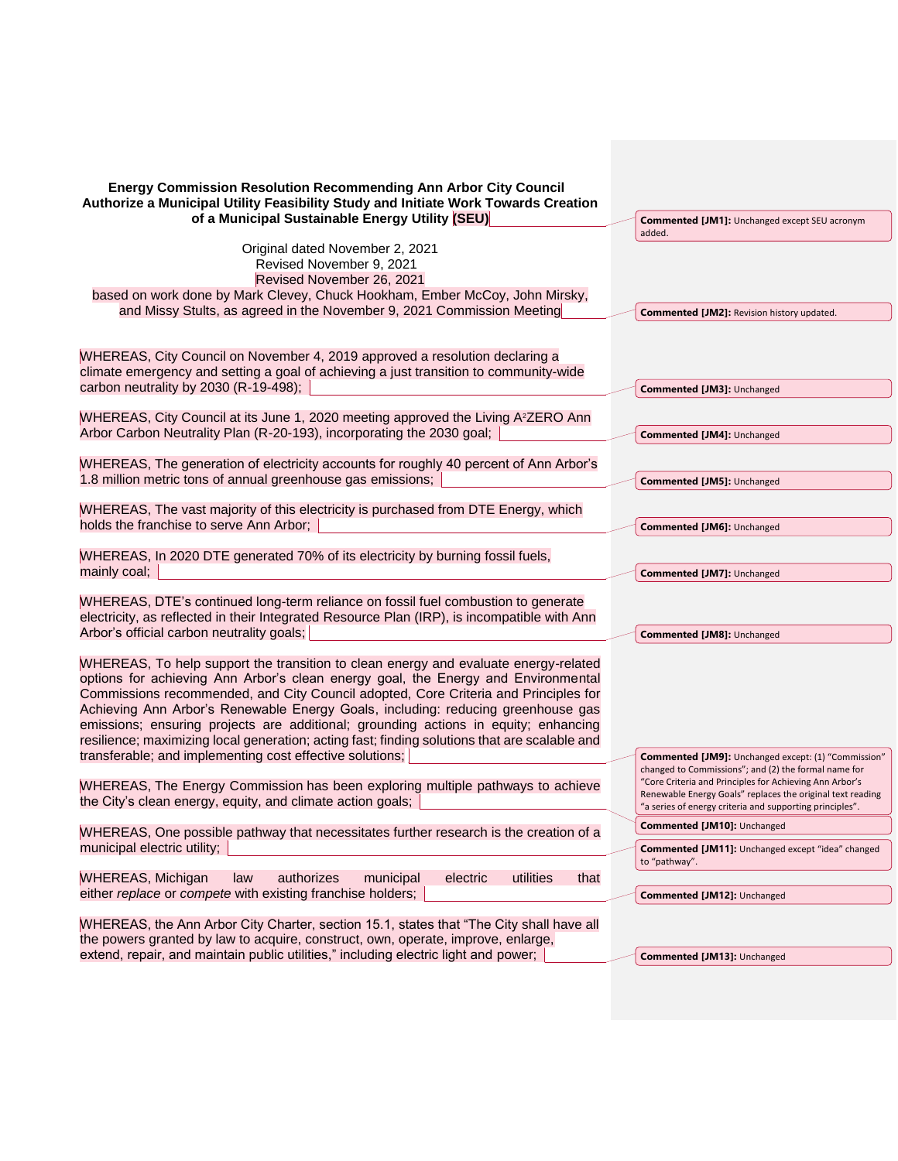| <b>Energy Commission Resolution Recommending Ann Arbor City Council</b><br>Authorize a Municipal Utility Feasibility Study and Initiate Work Towards Creation<br>of a Municipal Sustainable Energy Utility (SEU)                                                                                                                                                                                                                                                                                                                            | <b>Commented [JM1]:</b> Unchanged except SEU acronym                                                                   |
|---------------------------------------------------------------------------------------------------------------------------------------------------------------------------------------------------------------------------------------------------------------------------------------------------------------------------------------------------------------------------------------------------------------------------------------------------------------------------------------------------------------------------------------------|------------------------------------------------------------------------------------------------------------------------|
|                                                                                                                                                                                                                                                                                                                                                                                                                                                                                                                                             | added.                                                                                                                 |
| Original dated November 2, 2021<br>Revised November 9, 2021<br>Revised November 26, 2021                                                                                                                                                                                                                                                                                                                                                                                                                                                    |                                                                                                                        |
| based on work done by Mark Clevey, Chuck Hookham, Ember McCoy, John Mirsky,<br>and Missy Stults, as agreed in the November 9, 2021 Commission Meeting                                                                                                                                                                                                                                                                                                                                                                                       |                                                                                                                        |
|                                                                                                                                                                                                                                                                                                                                                                                                                                                                                                                                             | <b>Commented [JM2]: Revision history updated.</b>                                                                      |
| WHEREAS, City Council on November 4, 2019 approved a resolution declaring a<br>climate emergency and setting a goal of achieving a just transition to community-wide                                                                                                                                                                                                                                                                                                                                                                        |                                                                                                                        |
| carbon neutrality by 2030 (R-19-498);                                                                                                                                                                                                                                                                                                                                                                                                                                                                                                       | <b>Commented [JM3]: Unchanged</b>                                                                                      |
| WHEREAS, City Council at its June 1, 2020 meeting approved the Living A <sup>2</sup> ZERO Ann<br>Arbor Carbon Neutrality Plan (R-20-193), incorporating the 2030 goal;                                                                                                                                                                                                                                                                                                                                                                      | Commented [JM4]: Unchanged                                                                                             |
| WHEREAS, The generation of electricity accounts for roughly 40 percent of Ann Arbor's                                                                                                                                                                                                                                                                                                                                                                                                                                                       |                                                                                                                        |
| 1.8 million metric tons of annual greenhouse gas emissions;                                                                                                                                                                                                                                                                                                                                                                                                                                                                                 | Commented [JM5]: Unchanged                                                                                             |
|                                                                                                                                                                                                                                                                                                                                                                                                                                                                                                                                             |                                                                                                                        |
| WHEREAS, The vast majority of this electricity is purchased from DTE Energy, which<br>holds the franchise to serve Ann Arbor;                                                                                                                                                                                                                                                                                                                                                                                                               | Commented [JM6]: Unchanged                                                                                             |
|                                                                                                                                                                                                                                                                                                                                                                                                                                                                                                                                             |                                                                                                                        |
| WHEREAS, In 2020 DTE generated 70% of its electricity by burning fossil fuels,<br>mainly coal;                                                                                                                                                                                                                                                                                                                                                                                                                                              | <b>Commented [JM7]: Unchanged</b>                                                                                      |
|                                                                                                                                                                                                                                                                                                                                                                                                                                                                                                                                             |                                                                                                                        |
| WHEREAS, DTE's continued long-term reliance on fossil fuel combustion to generate<br>electricity, as reflected in their Integrated Resource Plan (IRP), is incompatible with Ann                                                                                                                                                                                                                                                                                                                                                            |                                                                                                                        |
| Arbor's official carbon neutrality goals;                                                                                                                                                                                                                                                                                                                                                                                                                                                                                                   | <b>Commented [JM8]: Unchanged</b>                                                                                      |
| WHEREAS, To help support the transition to clean energy and evaluate energy-related<br>options for achieving Ann Arbor's clean energy goal, the Energy and Environmental<br>Commissions recommended, and City Council adopted, Core Criteria and Principles for<br>Achieving Ann Arbor's Renewable Energy Goals, including: reducing greenhouse gas<br>emissions; ensuring projects are additional; grounding actions in equity; enhancing<br>resilience; maximizing local generation; acting fast; finding solutions that are scalable and |                                                                                                                        |
| transferable; and implementing cost effective solutions;                                                                                                                                                                                                                                                                                                                                                                                                                                                                                    | <b>Commented [JM9]:</b> Unchanged except: (1) "Commission"                                                             |
| WHEREAS, The Energy Commission has been exploring multiple pathways to achieve                                                                                                                                                                                                                                                                                                                                                                                                                                                              | changed to Commissions"; and (2) the formal name for<br>"Core Criteria and Principles for Achieving Ann Arbor's        |
| the City's clean energy, equity, and climate action goals;                                                                                                                                                                                                                                                                                                                                                                                                                                                                                  | Renewable Energy Goals" replaces the original text reading<br>"a series of energy criteria and supporting principles". |
| WHEREAS, One possible pathway that necessitates further research is the creation of a                                                                                                                                                                                                                                                                                                                                                                                                                                                       | Commented [JM10]: Unchanged                                                                                            |
| municipal electric utility;                                                                                                                                                                                                                                                                                                                                                                                                                                                                                                                 | Commented [JM11]: Unchanged except "idea" changed<br>to "pathway".                                                     |
| <b>WHEREAS, Michigan</b><br>authorizes<br>utilities<br>that<br>law<br>municipal<br>electric                                                                                                                                                                                                                                                                                                                                                                                                                                                 |                                                                                                                        |
| either replace or compete with existing franchise holders;                                                                                                                                                                                                                                                                                                                                                                                                                                                                                  | Commented [JM12]: Unchanged                                                                                            |
| WHEREAS, the Ann Arbor City Charter, section 15.1, states that "The City shall have all                                                                                                                                                                                                                                                                                                                                                                                                                                                     |                                                                                                                        |
| the powers granted by law to acquire, construct, own, operate, improve, enlarge,<br>extend, repair, and maintain public utilities," including electric light and power;                                                                                                                                                                                                                                                                                                                                                                     | Commented [JM13]: Unchanged                                                                                            |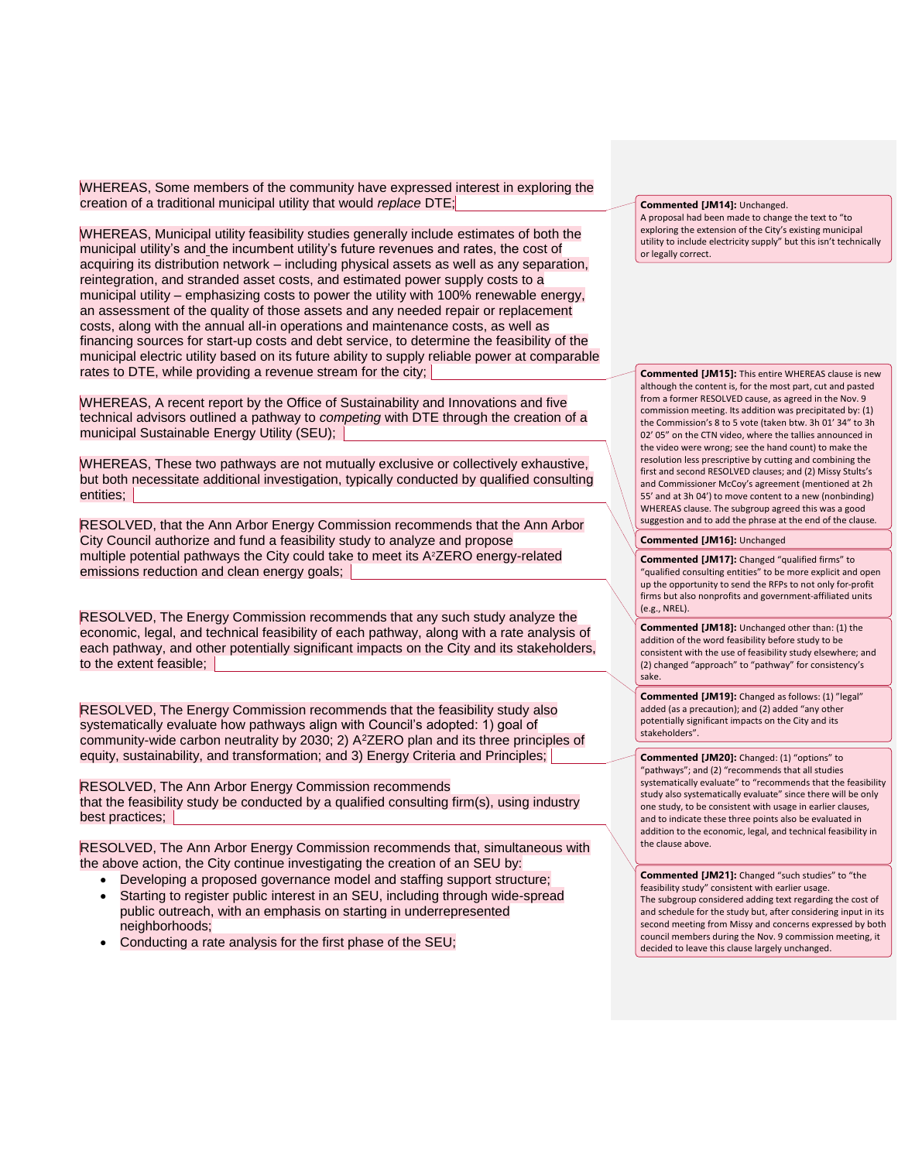WHEREAS, Some members of the community have expressed interest in exploring the creation of a traditional municipal utility that would *replace* DTE;

WHEREAS, Municipal utility feasibility studies generally include estimates of both the municipal utility's and the incumbent utility's future revenues and rates, the cost of acquiring its distribution network – including physical assets as well as any separation, reintegration, and stranded asset costs, and estimated power supply costs to a municipal utility – emphasizing costs to power the utility with 100% renewable energy, an assessment of the quality of those assets and any needed repair or replacement costs, along with the annual all-in operations and maintenance costs, as well as financing sources for start-up costs and debt service, to determine the feasibility of the municipal electric utility based on its future ability to supply reliable power at comparable rates to DTE, while providing a revenue stream for the city;

WHEREAS, A recent report by the Office of Sustainability and Innovations and five technical advisors outlined a pathway to *competing* with DTE through the creation of a municipal Sustainable Energy Utility (SEU);

WHEREAS, These two pathways are not mutually exclusive or collectively exhaustive, but both necessitate additional investigation, typically conducted by qualified consulting entities; |

RESOLVED, that the Ann Arbor Energy Commission recommends that the Ann Arbor City Council authorize and fund a feasibility study to analyze and propose multiple potential pathways the City could take to meet its A<sup>2</sup>ZERO energy-related emissions reduction and clean energy goals;

RESOLVED, The Energy Commission recommends that any such study analyze the economic, legal, and technical feasibility of each pathway, along with a rate analysis of each pathway, and other potentially significant impacts on the City and its stakeholders, to the extent feasible;

RESOLVED, The Energy Commission recommends that the feasibility study also systematically evaluate how pathways align with Council's adopted: 1) goal of community-wide carbon neutrality by 2030; 2) A<sup>2</sup>ZERO plan and its three principles of equity, sustainability, and transformation; and 3) Energy Criteria and Principles;

RESOLVED, The Ann Arbor Energy Commission recommends that the feasibility study be conducted by a qualified consulting firm(s), using industry best practices;

RESOLVED, The Ann Arbor Energy Commission recommends that, simultaneous with the above action, the City continue investigating the creation of an SEU by:

- Developing a proposed governance model and staffing support structure;
- Starting to register public interest in an SEU, including through wide-spread public outreach, with an emphasis on starting in underrepresented neighborhoods;
- Conducting a rate analysis for the first phase of the SEU;

**Commented [JM14]:** Unchanged. A proposal had been made to change the text to "to

exploring the extension of the City's existing municipal utility to include electricity supply" but this isn't technically or legally correct.

**Commented [JM15]:** This entire WHEREAS clause is new although the content is, for the most part, cut and pasted from a former RESOLVED cause, as agreed in the Nov. 9 commission meeting. Its addition was precipitated by: (1) the Commission's 8 to 5 vote (taken btw. 3h 01' 34" to 3h 02' 05" on the CTN video, where the tallies announced in the video were wrong; see the hand count) to make the resolution less prescriptive by cutting and combining the first and second RESOLVED clauses; and (2) Missy Stults's and Commissioner McCoy's agreement (mentioned at 2h 55' and at 3h 04') to move content to a new (nonbinding) WHEREAS clause. The subgroup agreed this was a good suggestion and to add the phrase at the end of the clause.

## **Commented [JM16]:** Unchanged

**Commented [JM17]:** Changed "qualified firms" to "qualified consulting entities" to be more explicit and open up the opportunity to send the RFPs to not only for-profit firms but also nonprofits and government-affiliated units (e.g., NREL).

**Commented [JM18]:** Unchanged other than: (1) the addition of the word feasibility before study to be consistent with the use of feasibility study elsewhere; and (2) changed "approach" to "pathway" for consistency's sake.

**Commented [JM19]:** Changed as follows: (1) "legal" added (as a precaution); and (2) added "any other potentially significant impacts on the City and its stakeholders".

**Commented [JM20]:** Changed: (1) "options" to "pathways"; and (2) "recommends that all studies systematically evaluate" to "recommends that the feasibility study also systematically evaluate" since there will be only one study, to be consistent with usage in earlier clauses, and to indicate these three points also be evaluated in addition to the economic, legal, and technical feasibility in the clause above.

**Commented [JM21]:** Changed "such studies" to "the feasibility study" consistent with earlier usage. The subgroup considered adding text regarding the cost of and schedule for the study but, after considering input in its second meeting from Missy and concerns expressed by both council members during the Nov. 9 commission meeting, it decided to leave this clause largely unchanged.